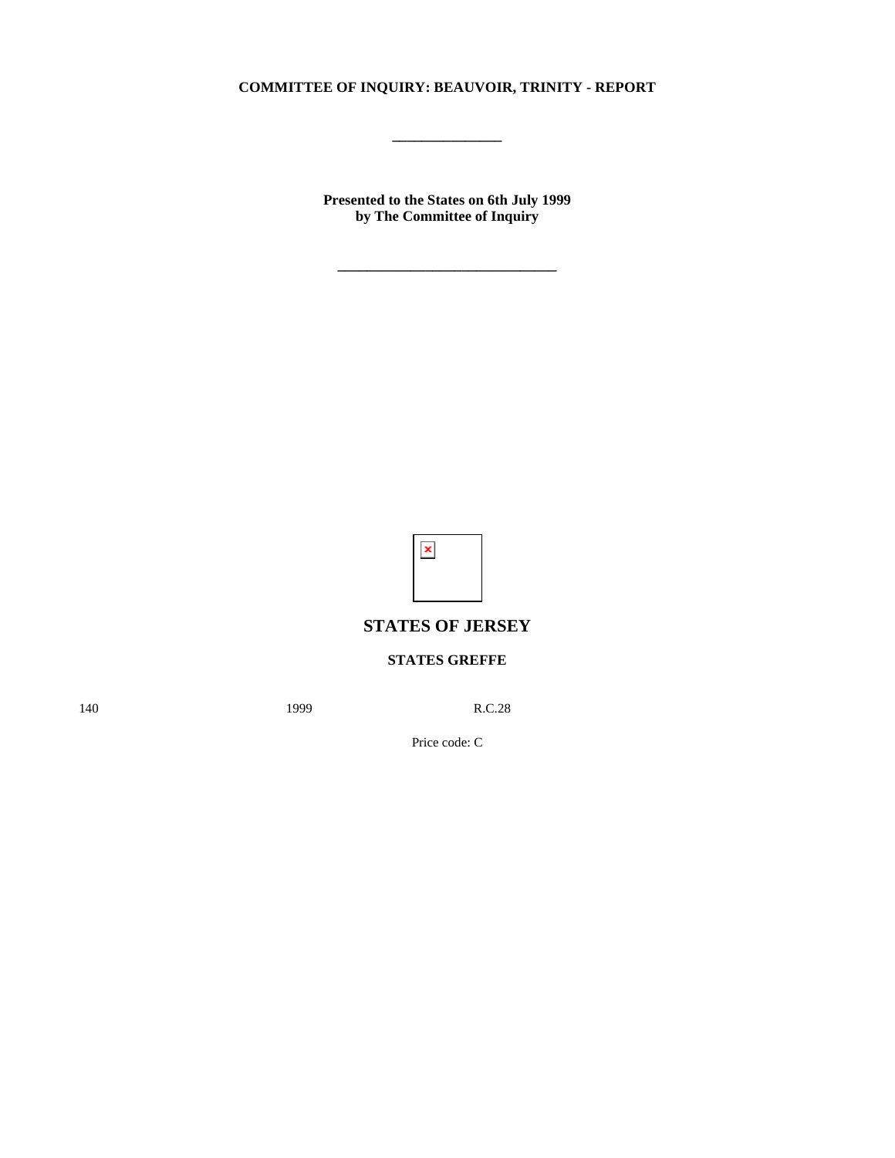## **COMMITTEE OF INQUIRY: BEAUVOIR, TRINITY - REPORT**

**\_\_\_\_\_\_\_\_\_\_\_\_\_\_\_**

**Presented to the States on 6th July 1999 by The Committee of Inquiry**

**\_\_\_\_\_\_\_\_\_\_\_\_\_\_\_\_\_\_\_\_\_\_\_\_\_\_\_\_\_\_**



# **STATES OF JERSEY**

# **STATES GREFFE**

140 **1999** R.C.28

Price code: C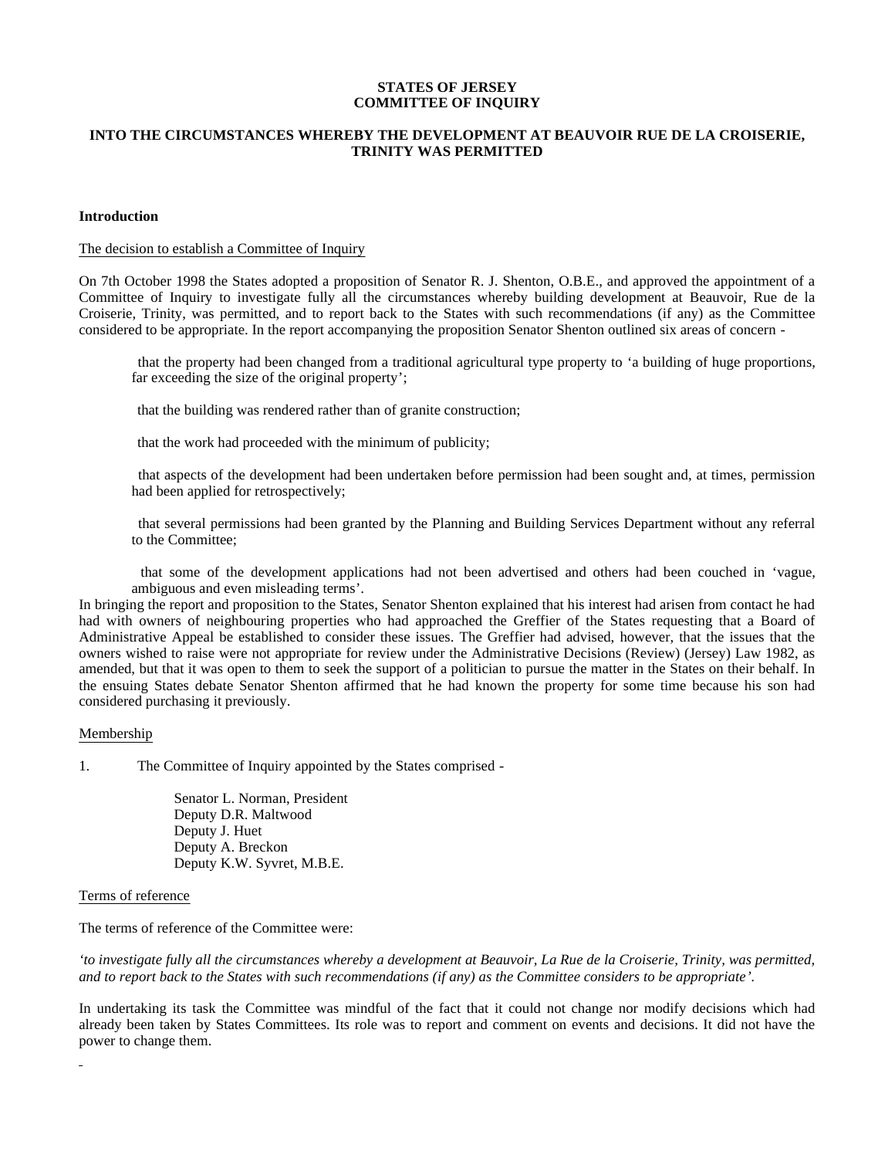## **STATES OF JERSEY COMMITTEE OF INQUIRY**

## **INTO THE CIRCUMSTANCES WHEREBY THE DEVELOPMENT AT BEAUVOIR RUE DE LA CROISERIE, TRINITY WAS PERMITTED**

## **Introduction**

## The decision to establish a Committee of Inquiry

On 7th October 1998 the States adopted a proposition of Senator R. J. Shenton, O.B.E., and approved the appointment of a Committee of Inquiry to investigate fully all the circumstances whereby building development at Beauvoir, Rue de la Croiserie, Trinity, was permitted, and to report back to the States with such recommendations (if any) as the Committee considered to be appropriate. In the report accompanying the proposition Senator Shenton outlined six areas of concern -

 that the property had been changed from a traditional agricultural type property to 'a building of huge proportions, far exceeding the size of the original property';

that the building was rendered rather than of granite construction;

that the work had proceeded with the minimum of publicity;

 that aspects of the development had been undertaken before permission had been sought and, at times, permission had been applied for retrospectively;

 that several permissions had been granted by the Planning and Building Services Department without any referral to the Committee;

 that some of the development applications had not been advertised and others had been couched in 'vague, ambiguous and even misleading terms'.

In bringing the report and proposition to the States, Senator Shenton explained that his interest had arisen from contact he had had with owners of neighbouring properties who had approached the Greffier of the States requesting that a Board of Administrative Appeal be established to consider these issues. The Greffier had advised, however, that the issues that the owners wished to raise were not appropriate for review under the Administrative Decisions (Review) (Jersey) Law 1982, as amended, but that it was open to them to seek the support of a politician to pursue the matter in the States on their behalf. In the ensuing States debate Senator Shenton affirmed that he had known the property for some time because his son had considered purchasing it previously.

#### Membership

1. The Committee of Inquiry appointed by the States comprised -

 Senator L. Norman, President Deputy D.R. Maltwood Deputy J. Huet Deputy A. Breckon Deputy K.W. Syvret, M.B.E.

#### Terms of reference

The terms of reference of the Committee were:

*'to investigate fully all the circumstances whereby a development at Beauvoir, La Rue de la Croiserie, Trinity, was permitted, and to report back to the States with such recommendations (if any) as the Committee considers to be appropriate'.*

In undertaking its task the Committee was mindful of the fact that it could not change nor modify decisions which had already been taken by States Committees. Its role was to report and comment on events and decisions. It did not have the power to change them.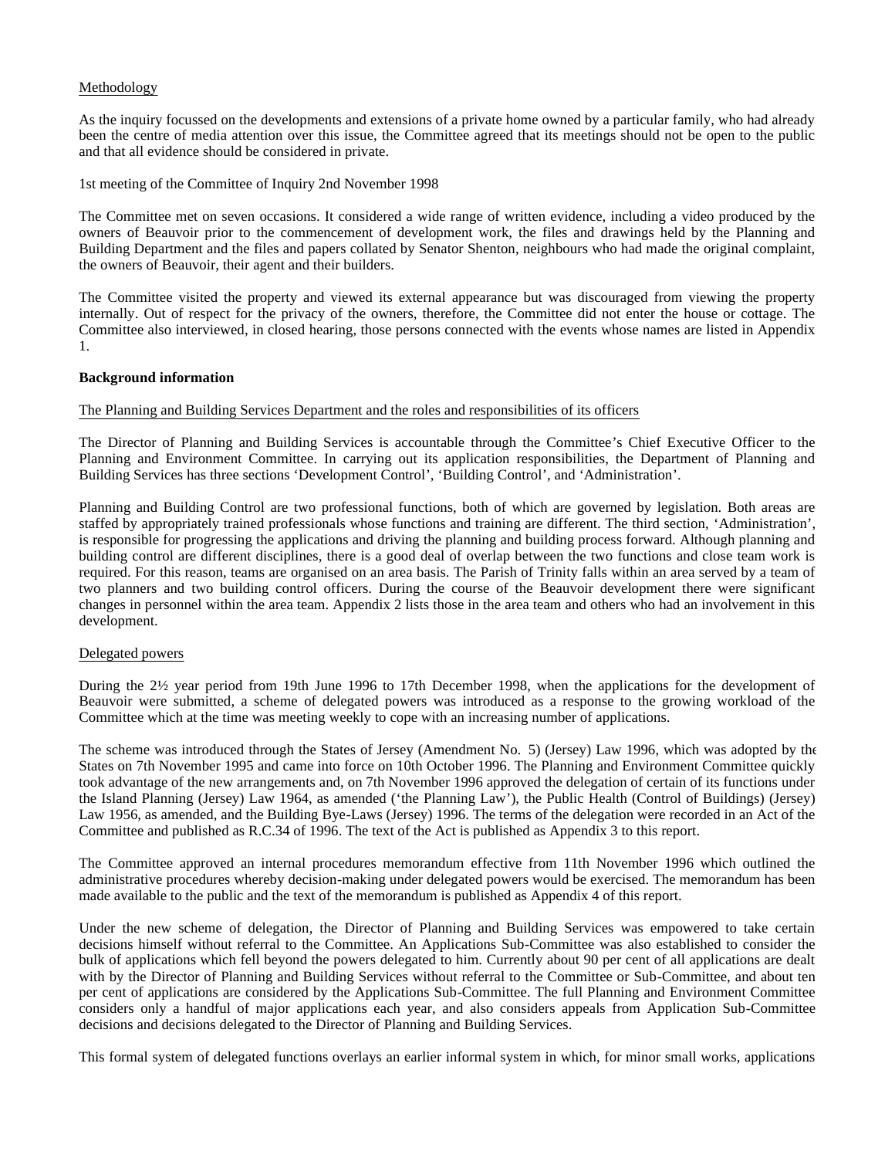## Methodology

As the inquiry focussed on the developments and extensions of a private home owned by a particular family, who had already been the centre of media attention over this issue, the Committee agreed that its meetings should not be open to the public and that all evidence should be considered in private.

1st meeting of the Committee of Inquiry 2nd November 1998

The Committee met on seven occasions. It considered a wide range of written evidence, including a video produced by the owners of Beauvoir prior to the commencement of development work, the files and drawings held by the Planning and Building Department and the files and papers collated by Senator Shenton, neighbours who had made the original complaint, the owners of Beauvoir, their agent and their builders.

The Committee visited the property and viewed its external appearance but was discouraged from viewing the property internally. Out of respect for the privacy of the owners, therefore, the Committee did not enter the house or cottage. The Committee also interviewed, in closed hearing, those persons connected with the events whose names are listed in Appendix 1.

#### **Background information**

## The Planning and Building Services Department and the roles and responsibilities of its officers

The Director of Planning and Building Services is accountable through the Committee's Chief Executive Officer to the Planning and Environment Committee. In carrying out its application responsibilities, the Department of Planning and Building Services has three sections 'Development Control', 'Building Control', and 'Administration'.

Planning and Building Control are two professional functions, both of which are governed by legislation. Both areas are staffed by appropriately trained professionals whose functions and training are different. The third section, 'Administration', is responsible for progressing the applications and driving the planning and building process forward. Although planning and building control are different disciplines, there is a good deal of overlap between the two functions and close team work is required. For this reason, teams are organised on an area basis. The Parish of Trinity falls within an area served by a team of two planners and two building control officers. During the course of the Beauvoir development there were significant changes in personnel within the area team. Appendix 2 lists those in the area team and others who had an involvement in this development.

#### Delegated powers

During the 2½ year period from 19th June 1996 to 17th December 1998, when the applications for the development of Beauvoir were submitted, a scheme of delegated powers was introduced as a response to the growing workload of the Committee which at the time was meeting weekly to cope with an increasing number of applications.

The scheme was introduced through the States of Jersey (Amendment No. 5) (Jersey) Law 1996, which was adopted by the States on 7th November 1995 and came into force on 10th October 1996. The Planning and Environment Committee quickly took advantage of the new arrangements and, on 7th November 1996 approved the delegation of certain of its functions under the Island Planning (Jersey) Law 1964, as amended ('the Planning Law'), the Public Health (Control of Buildings) (Jersey) Law 1956, as amended, and the Building Bye-Laws (Jersey) 1996. The terms of the delegation were recorded in an Act of the Committee and published as R.C.34 of 1996. The text of the Act is published as Appendix 3 to this report.

The Committee approved an internal procedures memorandum effective from 11th November 1996 which outlined the administrative procedures whereby decision-making under delegated powers would be exercised. The memorandum has been made available to the public and the text of the memorandum is published as Appendix 4 of this report.

Under the new scheme of delegation, the Director of Planning and Building Services was empowered to take certain decisions himself without referral to the Committee. An Applications Sub-Committee was also established to consider the bulk of applications which fell beyond the powers delegated to him. Currently about 90 per cent of all applications are dealt with by the Director of Planning and Building Services without referral to the Committee or Sub-Committee, and about ten per cent of applications are considered by the Applications Sub-Committee. The full Planning and Environment Committee considers only a handful of major applications each year, and also considers appeals from Application Sub-Committee decisions and decisions delegated to the Director of Planning and Building Services.

This formal system of delegated functions overlays an earlier informal system in which, for minor small works, applications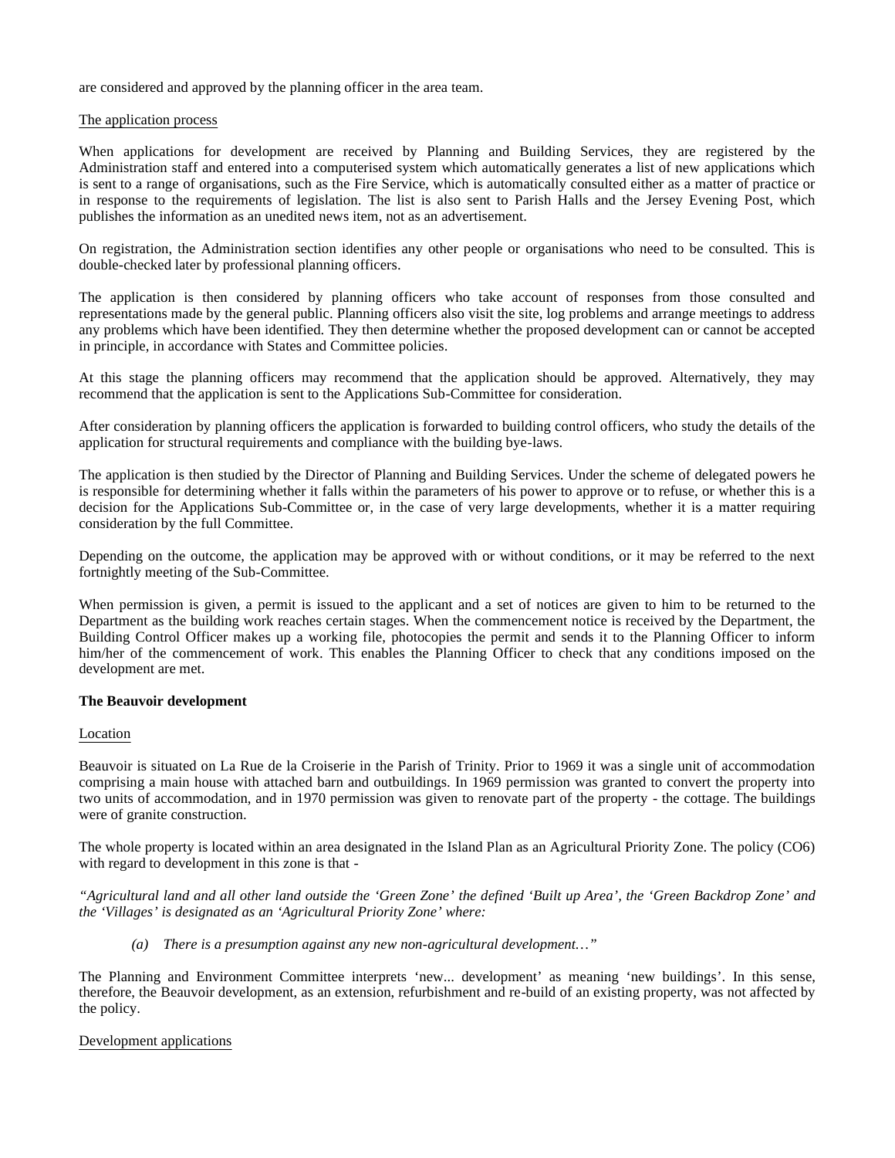are considered and approved by the planning officer in the area team.

#### The application process

When applications for development are received by Planning and Building Services, they are registered by the Administration staff and entered into a computerised system which automatically generates a list of new applications which is sent to a range of organisations, such as the Fire Service, which is automatically consulted either as a matter of practice or in response to the requirements of legislation. The list is also sent to Parish Halls and the Jersey Evening Post, which publishes the information as an unedited news item, not as an advertisement.

On registration, the Administration section identifies any other people or organisations who need to be consulted. This is double-checked later by professional planning officers.

The application is then considered by planning officers who take account of responses from those consulted and representations made by the general public. Planning officers also visit the site, log problems and arrange meetings to address any problems which have been identified. They then determine whether the proposed development can or cannot be accepted in principle, in accordance with States and Committee policies.

At this stage the planning officers may recommend that the application should be approved. Alternatively, they may recommend that the application is sent to the Applications Sub-Committee for consideration.

After consideration by planning officers the application is forwarded to building control officers, who study the details of the application for structural requirements and compliance with the building bye-laws.

The application is then studied by the Director of Planning and Building Services. Under the scheme of delegated powers he is responsible for determining whether it falls within the parameters of his power to approve or to refuse, or whether this is a decision for the Applications Sub-Committee or, in the case of very large developments, whether it is a matter requiring consideration by the full Committee.

Depending on the outcome, the application may be approved with or without conditions, or it may be referred to the next fortnightly meeting of the Sub-Committee.

When permission is given, a permit is issued to the applicant and a set of notices are given to him to be returned to the Department as the building work reaches certain stages. When the commencement notice is received by the Department, the Building Control Officer makes up a working file, photocopies the permit and sends it to the Planning Officer to inform him/her of the commencement of work. This enables the Planning Officer to check that any conditions imposed on the development are met.

## **The Beauvoir development**

## Location

Beauvoir is situated on La Rue de la Croiserie in the Parish of Trinity. Prior to 1969 it was a single unit of accommodation comprising a main house with attached barn and outbuildings. In 1969 permission was granted to convert the property into two units of accommodation, and in 1970 permission was given to renovate part of the property - the cottage. The buildings were of granite construction.

The whole property is located within an area designated in the Island Plan as an Agricultural Priority Zone. The policy (CO6) with regard to development in this zone is that -

"Agricultural land and all other land outside the 'Green Zone' the defined 'Built up Area', the 'Green Backdrop Zone' and *the 'Villages' is designated as an 'Agricultural Priority Zone' where:*

*(a) There is a presumption against any new non-agricultural development…"*

The Planning and Environment Committee interprets 'new... development' as meaning 'new buildings'. In this sense, therefore, the Beauvoir development, as an extension, refurbishment and re-build of an existing property, was not affected by the policy.

#### Development applications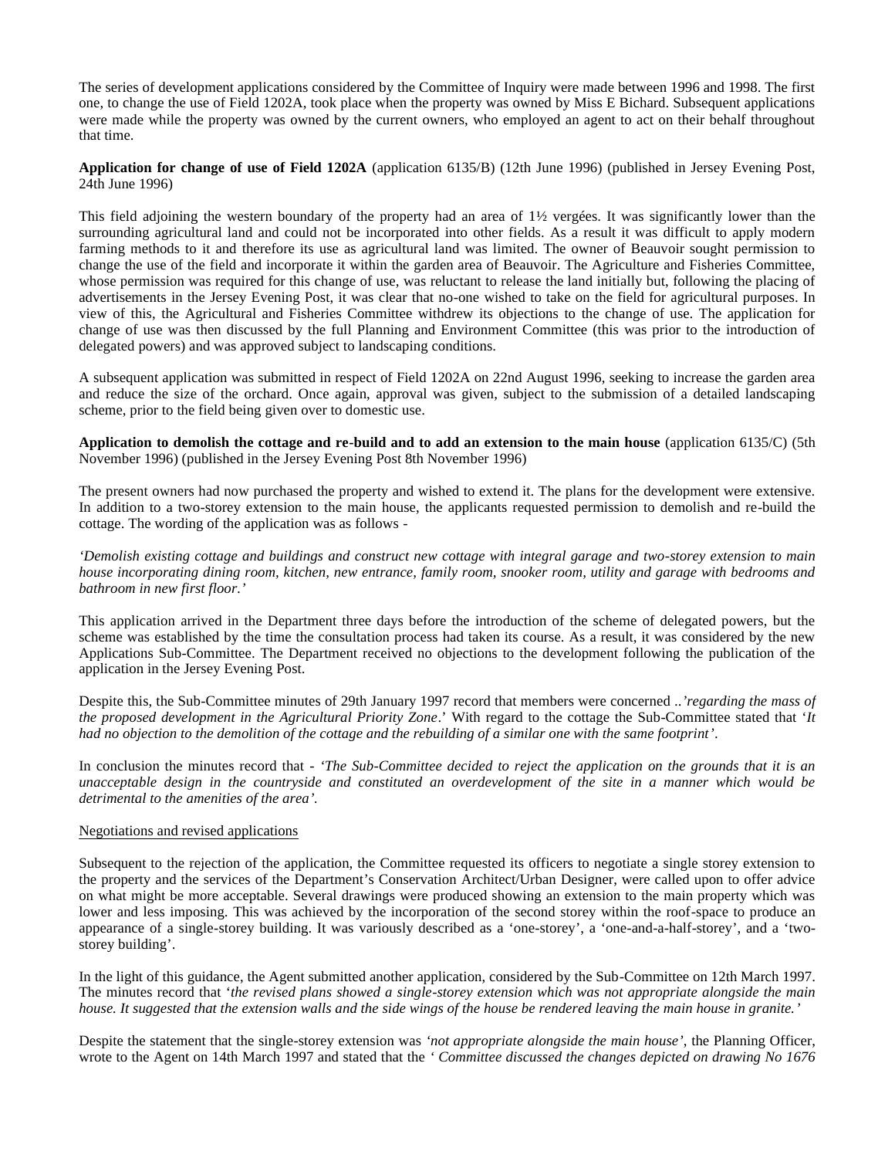The series of development applications considered by the Committee of Inquiry were made between 1996 and 1998. The first one, to change the use of Field 1202A, took place when the property was owned by Miss E Bichard. Subsequent applications were made while the property was owned by the current owners, who employed an agent to act on their behalf throughout that time.

**Application for change of use of Field 1202A** (application 6135/B) (12th June 1996) (published in Jersey Evening Post, 24th June 1996)

This field adjoining the western boundary of the property had an area of  $1\frac{1}{2}$  vergées. It was significantly lower than the surrounding agricultural land and could not be incorporated into other fields. As a result it was difficult to apply modern farming methods to it and therefore its use as agricultural land was limited. The owner of Beauvoir sought permission to change the use of the field and incorporate it within the garden area of Beauvoir. The Agriculture and Fisheries Committee, whose permission was required for this change of use, was reluctant to release the land initially but, following the placing of advertisements in the Jersey Evening Post, it was clear that no-one wished to take on the field for agricultural purposes. In view of this, the Agricultural and Fisheries Committee withdrew its objections to the change of use. The application for change of use was then discussed by the full Planning and Environment Committee (this was prior to the introduction of delegated powers) and was approved subject to landscaping conditions.

A subsequent application was submitted in respect of Field 1202A on 22nd August 1996, seeking to increase the garden area and reduce the size of the orchard. Once again, approval was given, subject to the submission of a detailed landscaping scheme, prior to the field being given over to domestic use.

**Application to demolish the cottage and re-build and to add an extension to the main house** (application 6135/C) (5th November 1996) (published in the Jersey Evening Post 8th November 1996)

The present owners had now purchased the property and wished to extend it. The plans for the development were extensive. In addition to a two-storey extension to the main house, the applicants requested permission to demolish and re-build the cottage. The wording of the application was as follows -

*'Demolish existing cottage and buildings and construct new cottage with integral garage and two-storey extension to main house incorporating dining room, kitchen, new entrance, family room, snooker room, utility and garage with bedrooms and bathroom in new first floor.'*

This application arrived in the Department three days before the introduction of the scheme of delegated powers, but the scheme was established by the time the consultation process had taken its course. As a result, it was considered by the new Applications Sub-Committee. The Department received no objections to the development following the publication of the application in the Jersey Evening Post.

Despite this, the Sub-Committee minutes of 29th January 1997 record that members were concerned ..*'regarding the mass of the proposed development in the Agricultural Priority Zone*.' With regard to the cottage the Sub-Committee stated that '*It had no objection to the demolition of the cottage and the rebuilding of a similar one with the same footprint'*.

In conclusion the minutes record that - *'The Sub-Committee decided to reject the application on the grounds that it is an unacceptable design in the countryside and constituted an overdevelopment of the site in a manner which would be detrimental to the amenities of the area'.*

## Negotiations and revised applications

Subsequent to the rejection of the application, the Committee requested its officers to negotiate a single storey extension to the property and the services of the Department's Conservation Architect/Urban Designer, were called upon to offer advice on what might be more acceptable. Several drawings were produced showing an extension to the main property which was lower and less imposing. This was achieved by the incorporation of the second storey within the roof-space to produce an appearance of a single-storey building. It was variously described as a 'one-storey', a 'one-and-a-half-storey', and a 'twostorey building'.

In the light of this guidance, the Agent submitted another application, considered by the Sub-Committee on 12th March 1997. The minutes record that '*the revised plans showed a single-storey extension which was not appropriate alongside the main house. It suggested that the extension walls and the side wings of the house be rendered leaving the main house in granite.'*

Despite the statement that the single-storey extension was *'not appropriate alongside the main house'*, the Planning Officer, wrote to the Agent on 14th March 1997 and stated that the *' Committee discussed the changes depicted on drawing No 1676*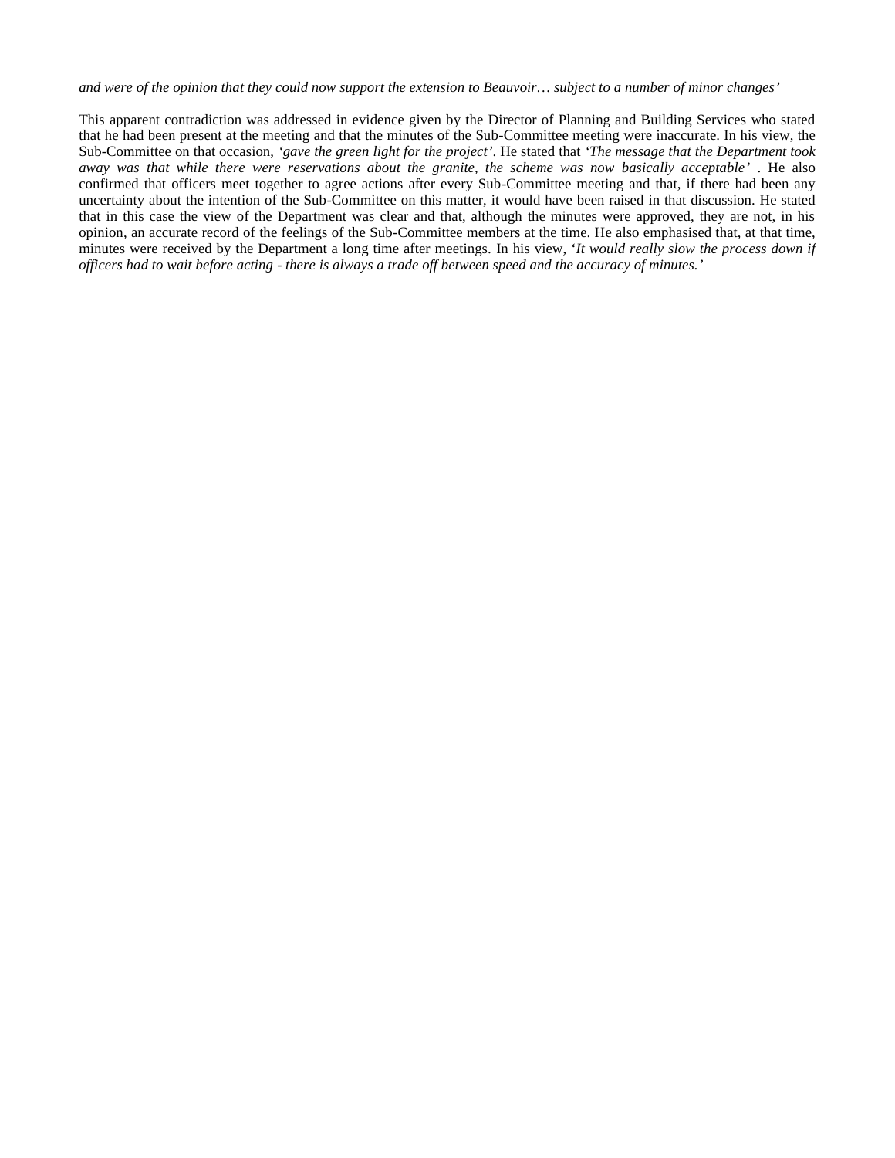*and were of the opinion that they could now support the extension to Beauvoir… subject to a number of minor changes'*

This apparent contradiction was addressed in evidence given by the Director of Planning and Building Services who stated that he had been present at the meeting and that the minutes of the Sub-Committee meeting were inaccurate. In his view, the Sub-Committee on that occasion, *'gave the green light for the project'*. He stated that *'The message that the Department took away was that while there were reservations about the granite, the scheme was now basically acceptable'* . He also confirmed that officers meet together to agree actions after every Sub-Committee meeting and that, if there had been any uncertainty about the intention of the Sub-Committee on this matter, it would have been raised in that discussion. He stated that in this case the view of the Department was clear and that, although the minutes were approved, they are not, in his opinion, an accurate record of the feelings of the Sub-Committee members at the time. He also emphasised that, at that time, minutes were received by the Department a long time after meetings*.* In his view, '*It would really slow the process down if officers had to wait before acting - there is always a trade off between speed and the accuracy of minutes.'*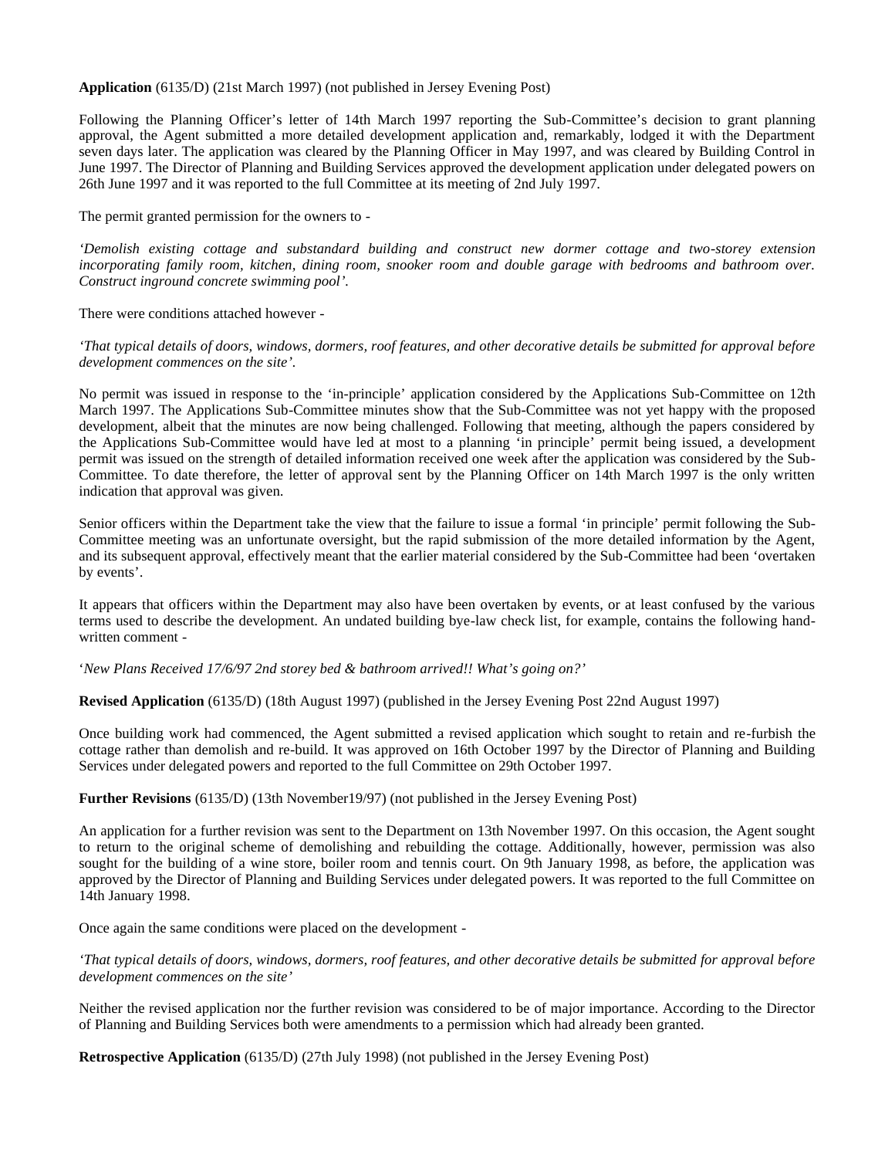**Application** (6135/D) (21st March 1997) (not published in Jersey Evening Post)

Following the Planning Officer's letter of 14th March 1997 reporting the Sub-Committee's decision to grant planning approval, the Agent submitted a more detailed development application and, remarkably, lodged it with the Department seven days later. The application was cleared by the Planning Officer in May 1997, and was cleared by Building Control in June 1997. The Director of Planning and Building Services approved the development application under delegated powers on 26th June 1997 and it was reported to the full Committee at its meeting of 2nd July 1997.

The permit granted permission for the owners to -

*'Demolish existing cottage and substandard building and construct new dormer cottage and two-storey extension incorporating family room, kitchen, dining room, snooker room and double garage with bedrooms and bathroom over. Construct inground concrete swimming pool'.*

There were conditions attached however -

*'That typical details of doors, windows, dormers, roof features, and other decorative details be submitted for approval before development commences on the site'.*

No permit was issued in response to the 'in-principle' application considered by the Applications Sub-Committee on 12th March 1997. The Applications Sub-Committee minutes show that the Sub-Committee was not yet happy with the proposed development, albeit that the minutes are now being challenged. Following that meeting, although the papers considered by the Applications Sub-Committee would have led at most to a planning 'in principle' permit being issued, a development permit was issued on the strength of detailed information received one week after the application was considered by the Sub-Committee. To date therefore, the letter of approval sent by the Planning Officer on 14th March 1997 is the only written indication that approval was given.

Senior officers within the Department take the view that the failure to issue a formal 'in principle' permit following the Sub-Committee meeting was an unfortunate oversight, but the rapid submission of the more detailed information by the Agent, and its subsequent approval, effectively meant that the earlier material considered by the Sub-Committee had been 'overtaken by events'.

It appears that officers within the Department may also have been overtaken by events, or at least confused by the various terms used to describe the development. An undated building bye-law check list, for example, contains the following handwritten comment -

'*New Plans Received 17/6/97 2nd storey bed & bathroom arrived!! What's going on?'*

**Revised Application** (6135/D) (18th August 1997) (published in the Jersey Evening Post 22nd August 1997)

Once building work had commenced, the Agent submitted a revised application which sought to retain and re-furbish the cottage rather than demolish and re-build. It was approved on 16th October 1997 by the Director of Planning and Building Services under delegated powers and reported to the full Committee on 29th October 1997.

**Further Revisions** (6135/D) (13th November19/97) (not published in the Jersey Evening Post)

An application for a further revision was sent to the Department on 13th November 1997. On this occasion, the Agent sought to return to the original scheme of demolishing and rebuilding the cottage. Additionally, however, permission was also sought for the building of a wine store, boiler room and tennis court. On 9th January 1998, as before, the application was approved by the Director of Planning and Building Services under delegated powers. It was reported to the full Committee on 14th January 1998.

Once again the same conditions were placed on the development -

*'That typical details of doors, windows, dormers, roof features, and other decorative details be submitted for approval before development commences on the site'*

Neither the revised application nor the further revision was considered to be of major importance. According to the Director of Planning and Building Services both were amendments to a permission which had already been granted.

**Retrospective Application** (6135/D) (27th July 1998) (not published in the Jersey Evening Post)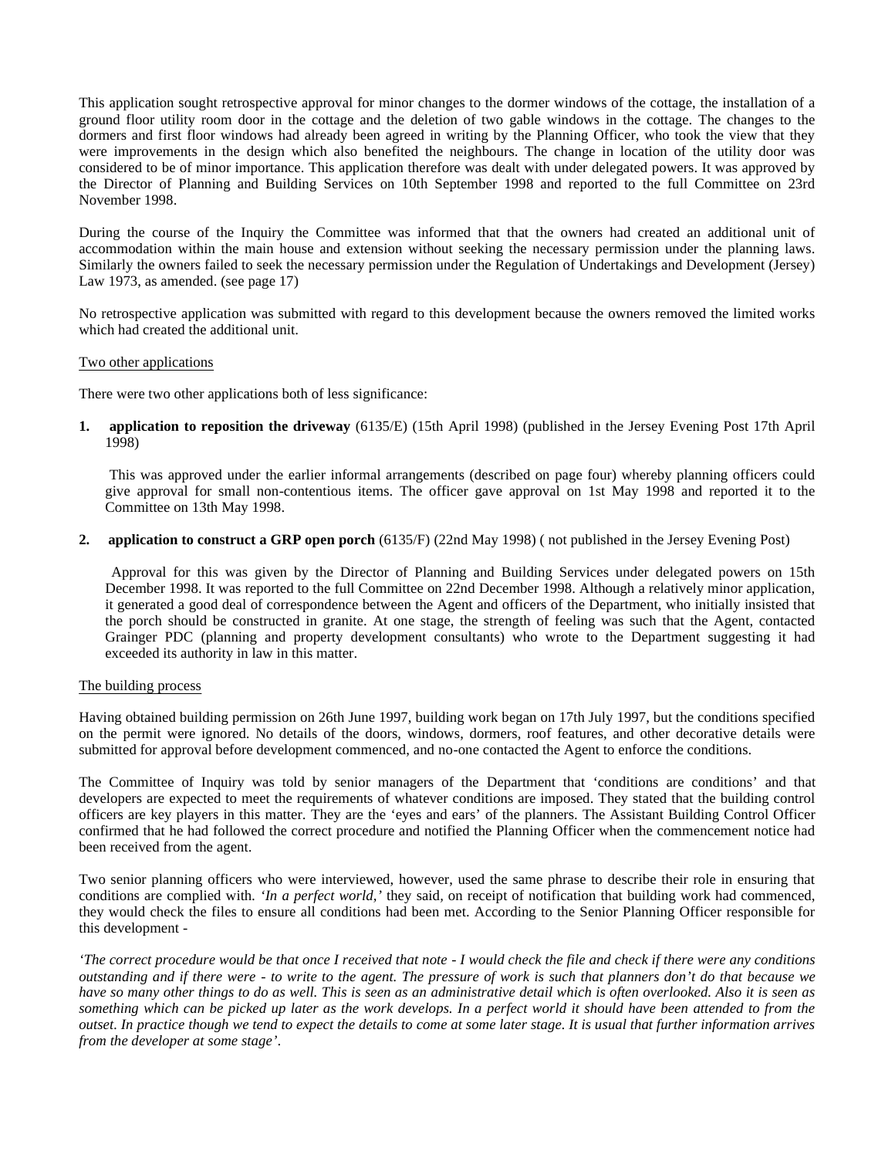This application sought retrospective approval for minor changes to the dormer windows of the cottage, the installation of a ground floor utility room door in the cottage and the deletion of two gable windows in the cottage. The changes to the dormers and first floor windows had already been agreed in writing by the Planning Officer, who took the view that they were improvements in the design which also benefited the neighbours. The change in location of the utility door was considered to be of minor importance. This application therefore was dealt with under delegated powers. It was approved by the Director of Planning and Building Services on 10th September 1998 and reported to the full Committee on 23rd November 1998.

During the course of the Inquiry the Committee was informed that that the owners had created an additional unit of accommodation within the main house and extension without seeking the necessary permission under the planning laws. Similarly the owners failed to seek the necessary permission under the Regulation of Undertakings and Development (Jersey) Law 1973, as amended. (see page 17)

No retrospective application was submitted with regard to this development because the owners removed the limited works which had created the additional unit.

## Two other applications

There were two other applications both of less significance:

**1. application to reposition the driveway** (6135/E) (15th April 1998) (published in the Jersey Evening Post 17th April 1998)

 This was approved under the earlier informal arrangements (described on page four) whereby planning officers could give approval for small non-contentious items. The officer gave approval on 1st May 1998 and reported it to the Committee on 13th May 1998.

## **2. application to construct a GRP open porch** (6135/F) (22nd May 1998) ( not published in the Jersey Evening Post)

 Approval for this was given by the Director of Planning and Building Services under delegated powers on 15th December 1998. It was reported to the full Committee on 22nd December 1998. Although a relatively minor application, it generated a good deal of correspondence between the Agent and officers of the Department, who initially insisted that the porch should be constructed in granite. At one stage, the strength of feeling was such that the Agent, contacted Grainger PDC (planning and property development consultants) who wrote to the Department suggesting it had exceeded its authority in law in this matter.

## The building process

Having obtained building permission on 26th June 1997, building work began on 17th July 1997, but the conditions specified on the permit were ignored. No details of the doors, windows, dormers, roof features, and other decorative details were submitted for approval before development commenced, and no-one contacted the Agent to enforce the conditions.

The Committee of Inquiry was told by senior managers of the Department that 'conditions are conditions' and that developers are expected to meet the requirements of whatever conditions are imposed. They stated that the building control officers are key players in this matter. They are the 'eyes and ears' of the planners. The Assistant Building Control Officer confirmed that he had followed the correct procedure and notified the Planning Officer when the commencement notice had been received from the agent.

Two senior planning officers who were interviewed, however, used the same phrase to describe their role in ensuring that conditions are complied with*. 'In a perfect world,'* they said*,* on receipt of notification that building work had commenced, they would check the files to ensure all conditions had been met. According to the Senior Planning Officer responsible for this development -

*'The correct procedure would be that once I received that note - I would check the file and check if there were any conditions outstanding and if there were - to write to the agent. The pressure of work is such that planners don't do that because we have so many other things to do as well. This is seen as an administrative detail which is often overlooked. Also it is seen as something which can be picked up later as the work develops. In a perfect world it should have been attended to from the outset. In practice though we tend to expect the details to come at some later stage. It is usual that further information arrives from the developer at some stage'*.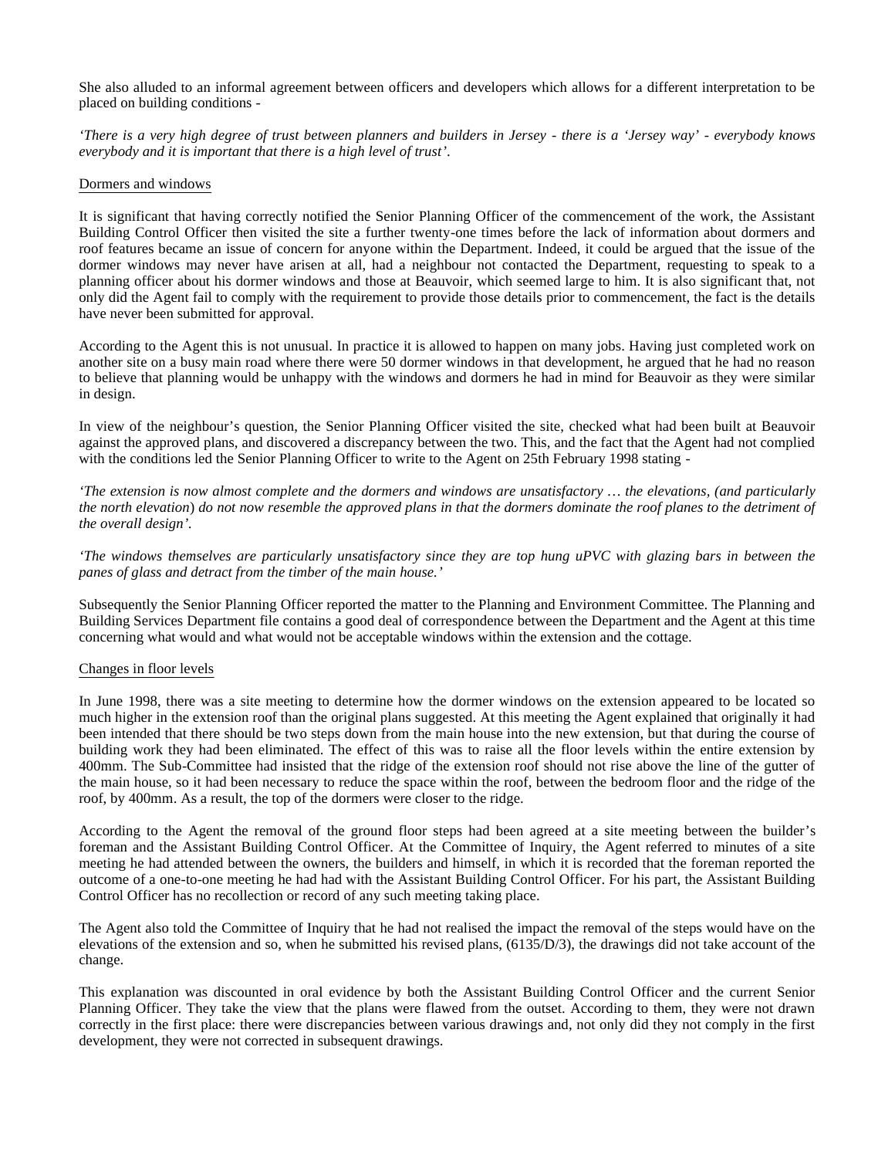She also alluded to an informal agreement between officers and developers which allows for a different interpretation to be placed on building conditions -

*'There is a very high degree of trust between planners and builders in Jersey - there is a 'Jersey way' - everybody knows everybody and it is important that there is a high level of trust'*.

#### Dormers and windows

It is significant that having correctly notified the Senior Planning Officer of the commencement of the work, the Assistant Building Control Officer then visited the site a further twenty-one times before the lack of information about dormers and roof features became an issue of concern for anyone within the Department. Indeed, it could be argued that the issue of the dormer windows may never have arisen at all, had a neighbour not contacted the Department, requesting to speak to a planning officer about his dormer windows and those at Beauvoir, which seemed large to him. It is also significant that, not only did the Agent fail to comply with the requirement to provide those details prior to commencement, the fact is the details have never been submitted for approval.

According to the Agent this is not unusual. In practice it is allowed to happen on many jobs. Having just completed work on another site on a busy main road where there were 50 dormer windows in that development, he argued that he had no reason to believe that planning would be unhappy with the windows and dormers he had in mind for Beauvoir as they were similar in design.

In view of the neighbour's question, the Senior Planning Officer visited the site, checked what had been built at Beauvoir against the approved plans, and discovered a discrepancy between the two. This, and the fact that the Agent had not complied with the conditions led the Senior Planning Officer to write to the Agent on 25th February 1998 stating -

*'The extension is now almost complete and the dormers and windows are unsatisfactory … the elevations, (and particularly the north elevation*) *do not now resemble the approved plans in that the dormers dominate the roof planes to the detriment of the overall design'.*

*'The windows themselves are particularly unsatisfactory since they are top hung uPVC with glazing bars in between the panes of glass and detract from the timber of the main house.'*

Subsequently the Senior Planning Officer reported the matter to the Planning and Environment Committee. The Planning and Building Services Department file contains a good deal of correspondence between the Department and the Agent at this time concerning what would and what would not be acceptable windows within the extension and the cottage.

## Changes in floor levels

In June 1998, there was a site meeting to determine how the dormer windows on the extension appeared to be located so much higher in the extension roof than the original plans suggested. At this meeting the Agent explained that originally it had been intended that there should be two steps down from the main house into the new extension, but that during the course of building work they had been eliminated. The effect of this was to raise all the floor levels within the entire extension by 400mm. The Sub-Committee had insisted that the ridge of the extension roof should not rise above the line of the gutter of the main house, so it had been necessary to reduce the space within the roof, between the bedroom floor and the ridge of the roof, by 400mm. As a result, the top of the dormers were closer to the ridge.

According to the Agent the removal of the ground floor steps had been agreed at a site meeting between the builder's foreman and the Assistant Building Control Officer. At the Committee of Inquiry, the Agent referred to minutes of a site meeting he had attended between the owners, the builders and himself, in which it is recorded that the foreman reported the outcome of a one-to-one meeting he had had with the Assistant Building Control Officer. For his part, the Assistant Building Control Officer has no recollection or record of any such meeting taking place.

The Agent also told the Committee of Inquiry that he had not realised the impact the removal of the steps would have on the elevations of the extension and so, when he submitted his revised plans, (6135/D/3), the drawings did not take account of the change.

This explanation was discounted in oral evidence by both the Assistant Building Control Officer and the current Senior Planning Officer. They take the view that the plans were flawed from the outset. According to them, they were not drawn correctly in the first place: there were discrepancies between various drawings and, not only did they not comply in the first development, they were not corrected in subsequent drawings.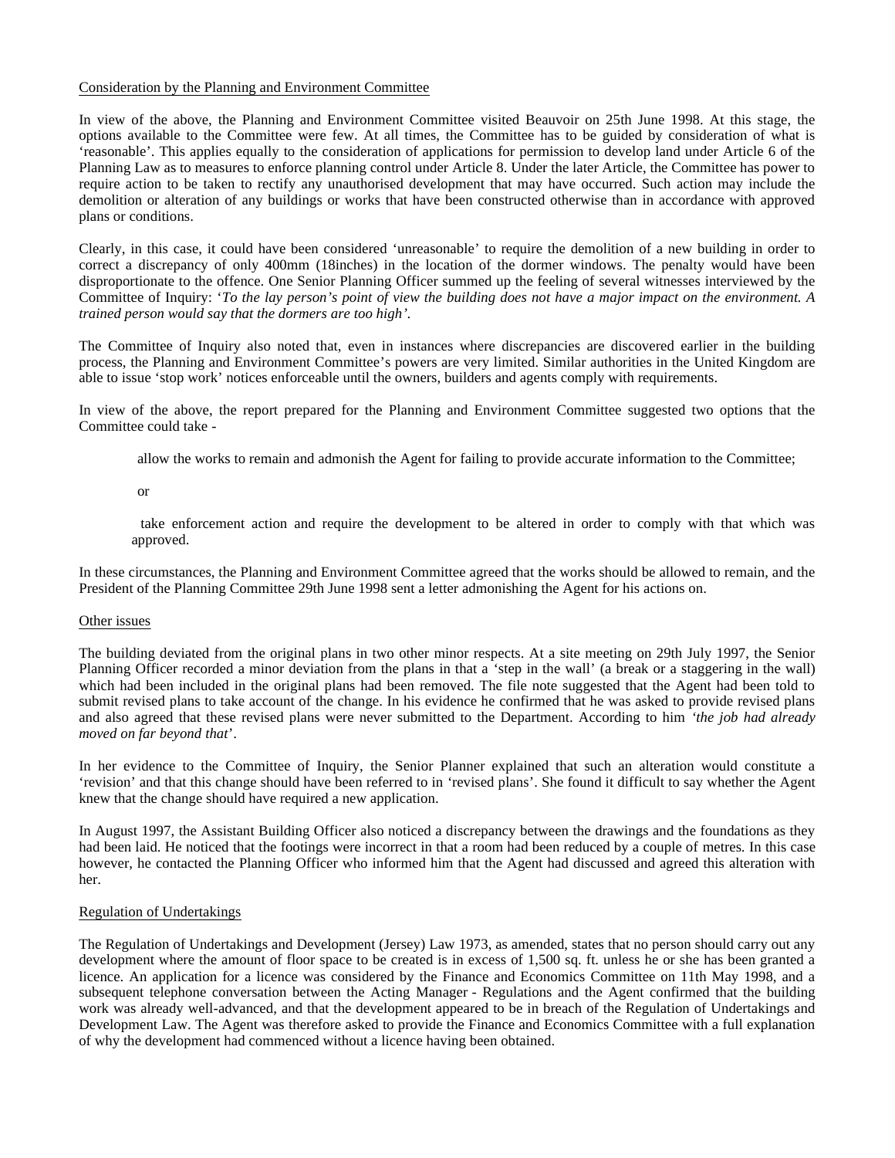## Consideration by the Planning and Environment Committee

In view of the above, the Planning and Environment Committee visited Beauvoir on 25th June 1998. At this stage, the options available to the Committee were few. At all times, the Committee has to be guided by consideration of what is 'reasonable'. This applies equally to the consideration of applications for permission to develop land under Article 6 of the Planning Law as to measures to enforce planning control under Article 8. Under the later Article, the Committee has power to require action to be taken to rectify any unauthorised development that may have occurred. Such action may include the demolition or alteration of any buildings or works that have been constructed otherwise than in accordance with approved plans or conditions.

Clearly, in this case, it could have been considered 'unreasonable' to require the demolition of a new building in order to correct a discrepancy of only 400mm (18inches) in the location of the dormer windows. The penalty would have been disproportionate to the offence. One Senior Planning Officer summed up the feeling of several witnesses interviewed by the Committee of Inquiry: '*To the lay person's point of view the building does not have a major impact on the environment. A trained person would say that the dormers are too high'.*

The Committee of Inquiry also noted that, even in instances where discrepancies are discovered earlier in the building process, the Planning and Environment Committee's powers are very limited. Similar authorities in the United Kingdom are able to issue 'stop work' notices enforceable until the owners, builders and agents comply with requirements.

In view of the above, the report prepared for the Planning and Environment Committee suggested two options that the Committee could take -

allow the works to remain and admonish the Agent for failing to provide accurate information to the Committee;

or

 take enforcement action and require the development to be altered in order to comply with that which was approved.

In these circumstances, the Planning and Environment Committee agreed that the works should be allowed to remain, and the President of the Planning Committee 29th June 1998 sent a letter admonishing the Agent for his actions on.

## Other issues

The building deviated from the original plans in two other minor respects. At a site meeting on 29th July 1997, the Senior Planning Officer recorded a minor deviation from the plans in that a 'step in the wall' (a break or a staggering in the wall) which had been included in the original plans had been removed. The file note suggested that the Agent had been told to submit revised plans to take account of the change. In his evidence he confirmed that he was asked to provide revised plans and also agreed that these revised plans were never submitted to the Department. According to him *'the job had already moved on far beyond that*'.

In her evidence to the Committee of Inquiry, the Senior Planner explained that such an alteration would constitute a 'revision' and that this change should have been referred to in 'revised plans'. She found it difficult to say whether the Agent knew that the change should have required a new application.

In August 1997, the Assistant Building Officer also noticed a discrepancy between the drawings and the foundations as they had been laid. He noticed that the footings were incorrect in that a room had been reduced by a couple of metres*.* In this case however, he contacted the Planning Officer who informed him that the Agent had discussed and agreed this alteration with her.

## Regulation of Undertakings

The Regulation of Undertakings and Development (Jersey) Law 1973, as amended, states that no person should carry out any development where the amount of floor space to be created is in excess of 1,500 sq. ft. unless he or she has been granted a licence. An application for a licence was considered by the Finance and Economics Committee on 11th May 1998, and a subsequent telephone conversation between the Acting Manager - Regulations and the Agent confirmed that the building work was already well-advanced, and that the development appeared to be in breach of the Regulation of Undertakings and Development Law. The Agent was therefore asked to provide the Finance and Economics Committee with a full explanation of why the development had commenced without a licence having been obtained.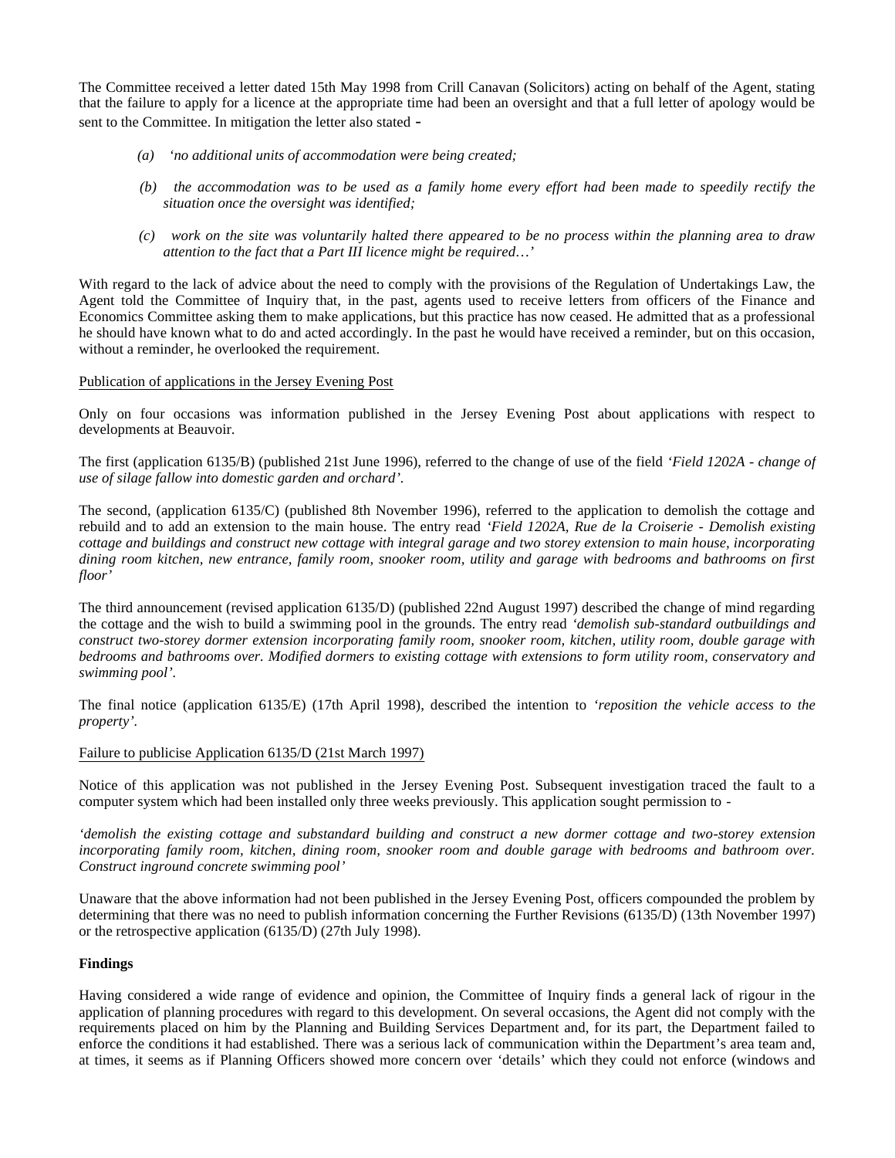The Committee received a letter dated 15th May 1998 from Crill Canavan (Solicitors) acting on behalf of the Agent, stating that the failure to apply for a licence at the appropriate time had been an oversight and that a full letter of apology would be sent to the Committee. In mitigation the letter also stated -

- *(a) 'no additional units of accommodation were being created;*
- *(b) the accommodation was to be used as a family home every effort had been made to speedily rectify the situation once the oversight was identified;*
- *(c) work on the site was voluntarily halted there appeared to be no process within the planning area to draw attention to the fact that a Part III licence might be required…'*

With regard to the lack of advice about the need to comply with the provisions of the Regulation of Undertakings Law, the Agent told the Committee of Inquiry that, in the past, agents used to receive letters from officers of the Finance and Economics Committee asking them to make applications, but this practice has now ceased. He admitted that as a professional he should have known what to do and acted accordingly. In the past he would have received a reminder, but on this occasion, without a reminder, he overlooked the requirement.

## Publication of applications in the Jersey Evening Post

Only on four occasions was information published in the Jersey Evening Post about applications with respect to developments at Beauvoir.

The first (application 6135/B) (published 21st June 1996), referred to the change of use of the field *'Field 1202A - change of use of silage fallow into domestic garden and orchard'.*

The second, (application 6135/C) (published 8th November 1996), referred to the application to demolish the cottage and rebuild and to add an extension to the main house. The entry read *'Field 1202A, Rue de la Croiserie - Demolish existing cottage and buildings and construct new cottage with integral garage and two storey extension to main house, incorporating dining room kitchen, new entrance, family room, snooker room, utility and garage with bedrooms and bathrooms on first floor'*

The third announcement (revised application 6135/D) (published 22nd August 1997) described the change of mind regarding the cottage and the wish to build a swimming pool in the grounds. The entry read *'demolish sub-standard outbuildings and construct two-storey dormer extension incorporating family room, snooker room, kitchen, utility room, double garage with bedrooms and bathrooms over. Modified dormers to existing cottage with extensions to form utility room, conservatory and swimming pool'.*

The final notice (application 6135/E) (17th April 1998), described the intention to *'reposition the vehicle access to the property'.*

## Failure to publicise Application 6135/D (21st March 1997)

Notice of this application was not published in the Jersey Evening Post. Subsequent investigation traced the fault to a computer system which had been installed only three weeks previously. This application sought permission to -

*'demolish the existing cottage and substandard building and construct a new dormer cottage and two-storey extension incorporating family room, kitchen, dining room, snooker room and double garage with bedrooms and bathroom over. Construct inground concrete swimming pool'*

Unaware that the above information had not been published in the Jersey Evening Post, officers compounded the problem by determining that there was no need to publish information concerning the Further Revisions (6135/D) (13th November 1997) or the retrospective application (6135/D) (27th July 1998).

## **Findings**

Having considered a wide range of evidence and opinion, the Committee of Inquiry finds a general lack of rigour in the application of planning procedures with regard to this development. On several occasions, the Agent did not comply with the requirements placed on him by the Planning and Building Services Department and, for its part, the Department failed to enforce the conditions it had established. There was a serious lack of communication within the Department's area team and, at times, it seems as if Planning Officers showed more concern over 'details' which they could not enforce (windows and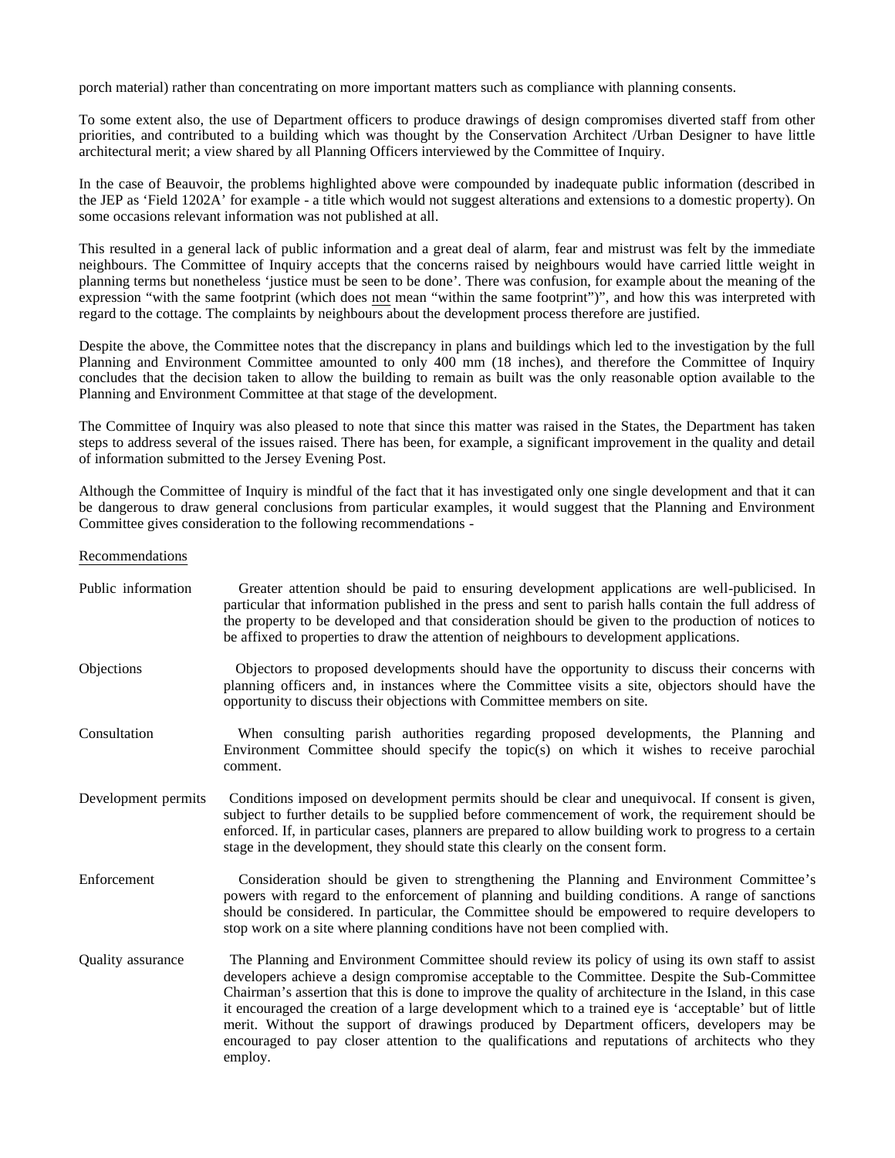porch material) rather than concentrating on more important matters such as compliance with planning consents.

To some extent also, the use of Department officers to produce drawings of design compromises diverted staff from other priorities, and contributed to a building which was thought by the Conservation Architect /Urban Designer to have little architectural merit; a view shared by all Planning Officers interviewed by the Committee of Inquiry.

In the case of Beauvoir, the problems highlighted above were compounded by inadequate public information (described in the JEP as 'Field 1202A' for example - a title which would not suggest alterations and extensions to a domestic property). On some occasions relevant information was not published at all.

This resulted in a general lack of public information and a great deal of alarm, fear and mistrust was felt by the immediate neighbours. The Committee of Inquiry accepts that the concerns raised by neighbours would have carried little weight in planning terms but nonetheless 'justice must be seen to be done'. There was confusion, for example about the meaning of the expression "with the same footprint (which does not mean "within the same footprint")", and how this was interpreted with regard to the cottage. The complaints by neighbours about the development process therefore are justified.

Despite the above, the Committee notes that the discrepancy in plans and buildings which led to the investigation by the full Planning and Environment Committee amounted to only 400 mm (18 inches), and therefore the Committee of Inquiry concludes that the decision taken to allow the building to remain as built was the only reasonable option available to the Planning and Environment Committee at that stage of the development.

The Committee of Inquiry was also pleased to note that since this matter was raised in the States, the Department has taken steps to address several of the issues raised. There has been, for example, a significant improvement in the quality and detail of information submitted to the Jersey Evening Post.

Although the Committee of Inquiry is mindful of the fact that it has investigated only one single development and that it can be dangerous to draw general conclusions from particular examples, it would suggest that the Planning and Environment Committee gives consideration to the following recommendations -

#### Recommendations

| Public information  | Greater attention should be paid to ensuring development applications are well-publicised. In<br>particular that information published in the press and sent to parish halls contain the full address of<br>the property to be developed and that consideration should be given to the production of notices to<br>be affixed to properties to draw the attention of neighbours to development applications.                                                                                                                                                                                                                        |
|---------------------|-------------------------------------------------------------------------------------------------------------------------------------------------------------------------------------------------------------------------------------------------------------------------------------------------------------------------------------------------------------------------------------------------------------------------------------------------------------------------------------------------------------------------------------------------------------------------------------------------------------------------------------|
| Objections          | Objectors to proposed developments should have the opportunity to discuss their concerns with<br>planning officers and, in instances where the Committee visits a site, objectors should have the<br>opportunity to discuss their objections with Committee members on site.                                                                                                                                                                                                                                                                                                                                                        |
| Consultation        | When consulting parish authorities regarding proposed developments, the Planning and<br>Environment Committee should specify the topic(s) on which it wishes to receive parochial<br>comment.                                                                                                                                                                                                                                                                                                                                                                                                                                       |
| Development permits | Conditions imposed on development permits should be clear and unequivocal. If consent is given,<br>subject to further details to be supplied before commencement of work, the requirement should be<br>enforced. If, in particular cases, planners are prepared to allow building work to progress to a certain<br>stage in the development, they should state this clearly on the consent form.                                                                                                                                                                                                                                    |
| Enforcement         | Consideration should be given to strengthening the Planning and Environment Committee's<br>powers with regard to the enforcement of planning and building conditions. A range of sanctions<br>should be considered. In particular, the Committee should be empowered to require developers to<br>stop work on a site where planning conditions have not been complied with.                                                                                                                                                                                                                                                         |
| Quality assurance   | The Planning and Environment Committee should review its policy of using its own staff to assist<br>developers achieve a design compromise acceptable to the Committee. Despite the Sub-Committee<br>Chairman's assertion that this is done to improve the quality of architecture in the Island, in this case<br>it encouraged the creation of a large development which to a trained eye is 'acceptable' but of little<br>merit. Without the support of drawings produced by Department officers, developers may be<br>encouraged to pay closer attention to the qualifications and reputations of architects who they<br>employ. |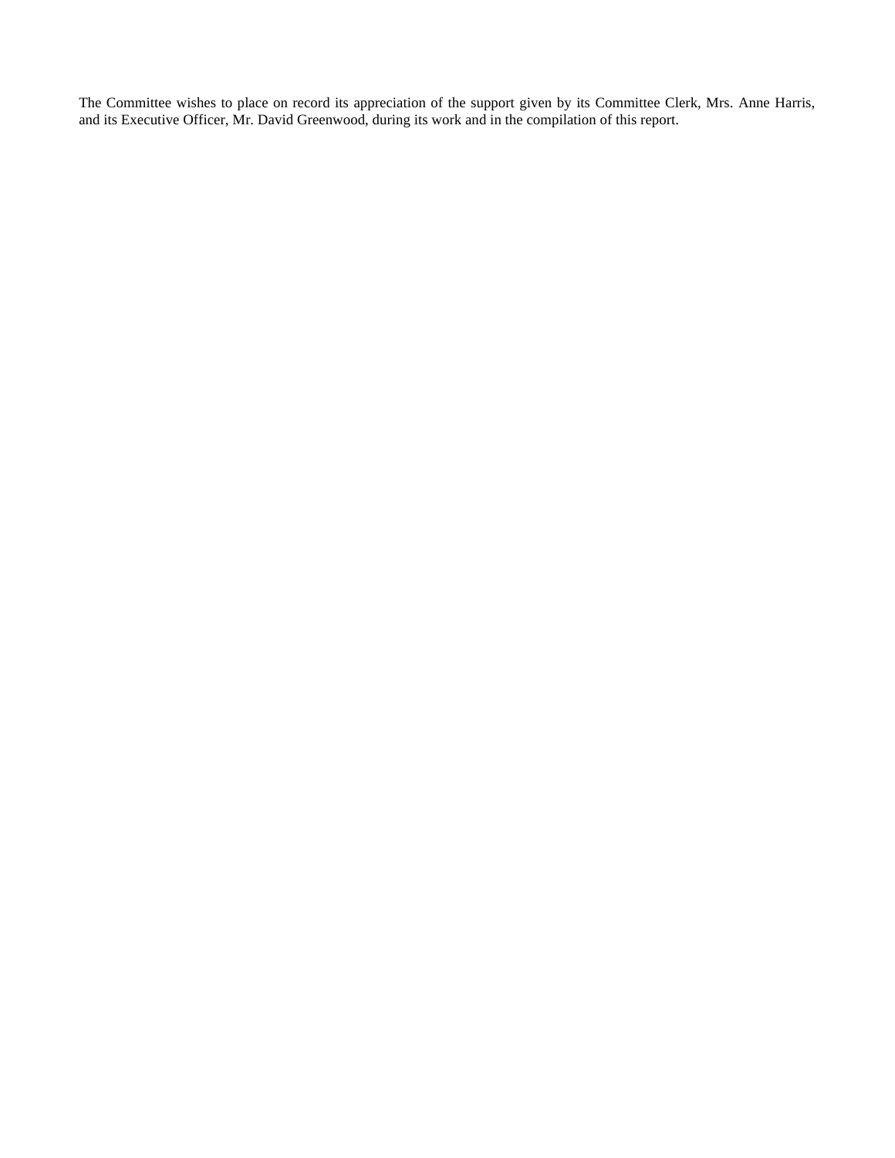The Committee wishes to place on record its appreciation of the support given by its Committee Clerk, Mrs. Anne Harris, and its Executive Officer, Mr. David Greenwood, during its work and in the compilation of this report.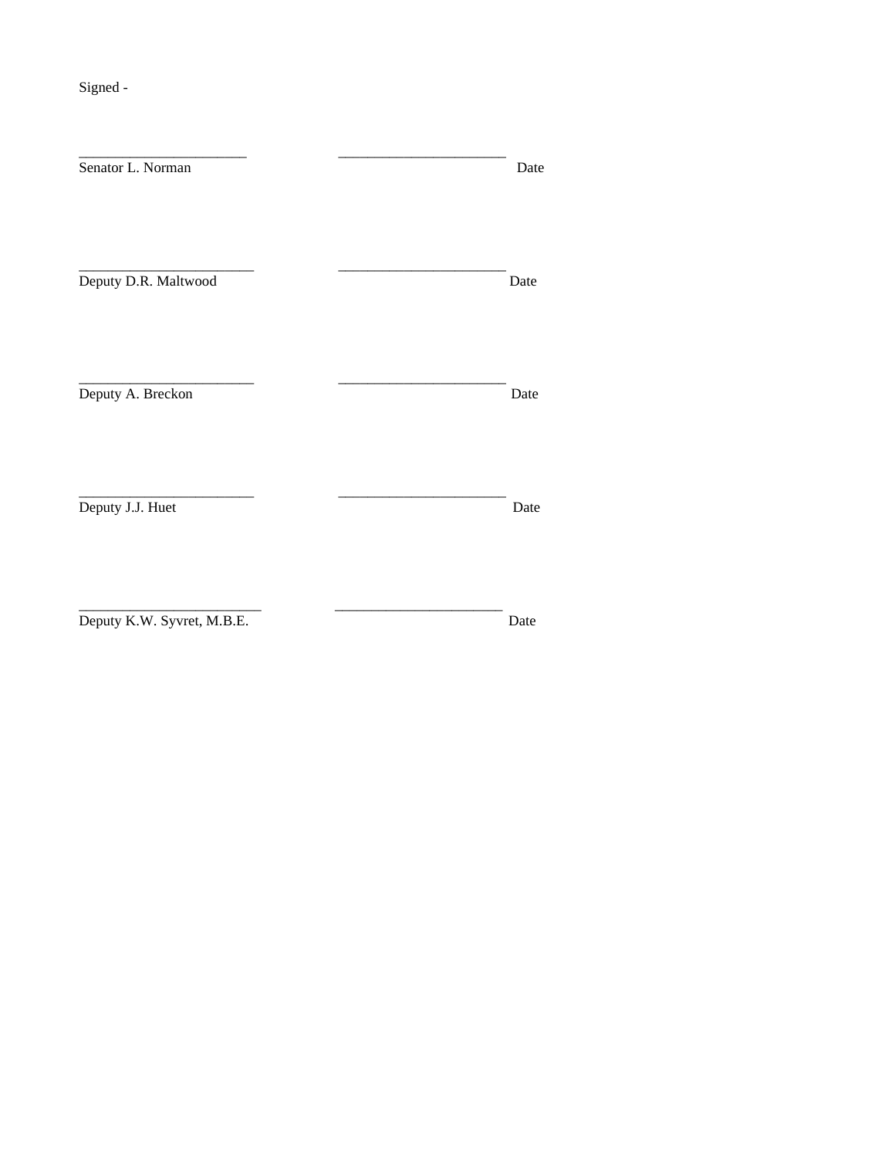Signed -

| Senator L. Norman          |  | Date |
|----------------------------|--|------|
|                            |  |      |
|                            |  |      |
| Deputy D.R. Maltwood       |  | Date |
|                            |  |      |
| Deputy A. Breckon          |  | Date |
|                            |  |      |
|                            |  |      |
| Deputy J.J. Huet           |  | Date |
|                            |  |      |
|                            |  |      |
| Deputy K.W. Syvret, M.B.E. |  | Date |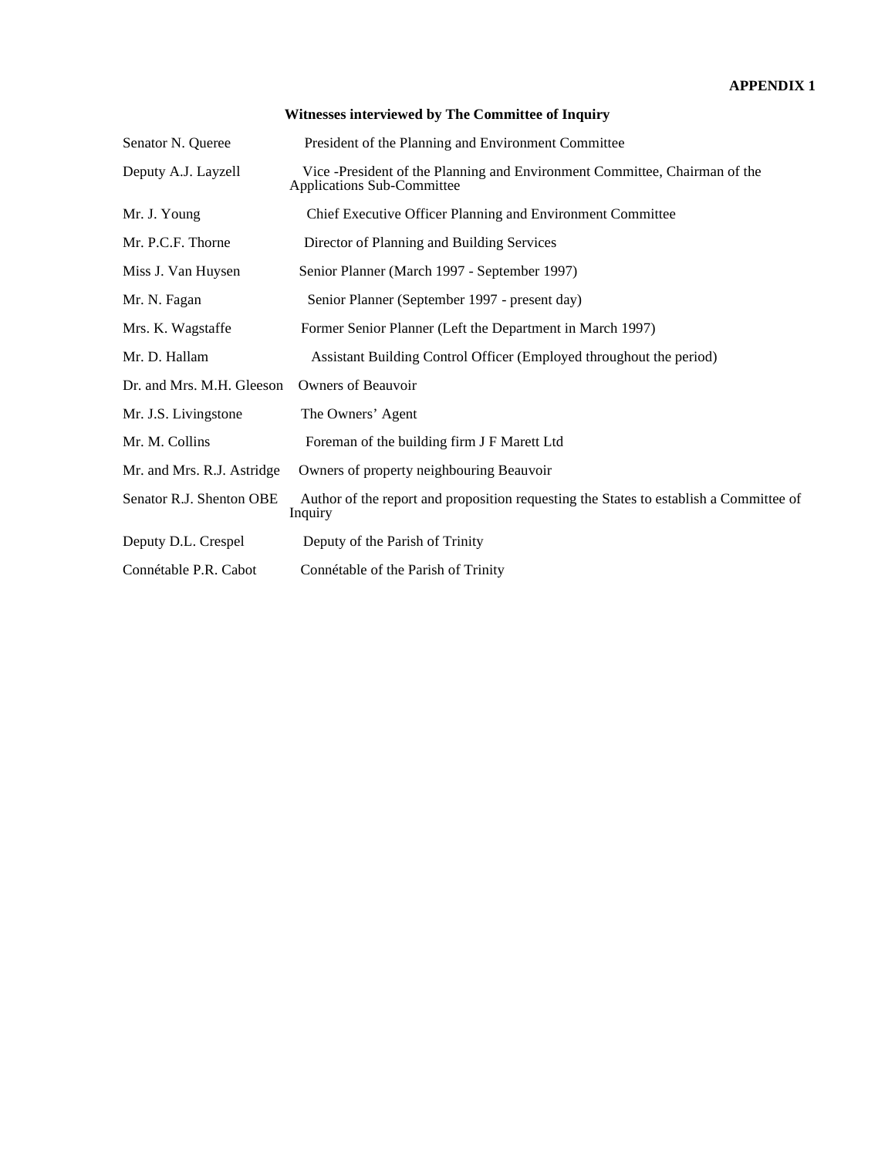| Senator N. Queree          | President of the Planning and Environment Committee                                                      |  |  |
|----------------------------|----------------------------------------------------------------------------------------------------------|--|--|
| Deputy A.J. Layzell        | Vice -President of the Planning and Environment Committee, Chairman of the<br>Applications Sub-Committee |  |  |
| Mr. J. Young               | Chief Executive Officer Planning and Environment Committee                                               |  |  |
| Mr. P.C.F. Thorne          | Director of Planning and Building Services                                                               |  |  |
| Miss J. Van Huysen         | Senior Planner (March 1997 - September 1997)                                                             |  |  |
| Mr. N. Fagan               | Senior Planner (September 1997 - present day)                                                            |  |  |
| Mrs. K. Wagstaffe          | Former Senior Planner (Left the Department in March 1997)                                                |  |  |
| Mr. D. Hallam              | Assistant Building Control Officer (Employed throughout the period)                                      |  |  |
| Dr. and Mrs. M.H. Gleeson  | Owners of Beauvoir                                                                                       |  |  |
| Mr. J.S. Livingstone       | The Owners' Agent                                                                                        |  |  |
| Mr. M. Collins             | Foreman of the building firm J F Marett Ltd                                                              |  |  |
| Mr. and Mrs. R.J. Astridge | Owners of property neighbouring Beauvoir                                                                 |  |  |
| Senator R.J. Shenton OBE   | Author of the report and proposition requesting the States to establish a Committee of<br>Inquiry        |  |  |
| Deputy D.L. Crespel        | Deputy of the Parish of Trinity                                                                          |  |  |
| Connétable P.R. Cabot      | Connétable of the Parish of Trinity                                                                      |  |  |

# **Witnesses interviewed by The Committee of Inquiry**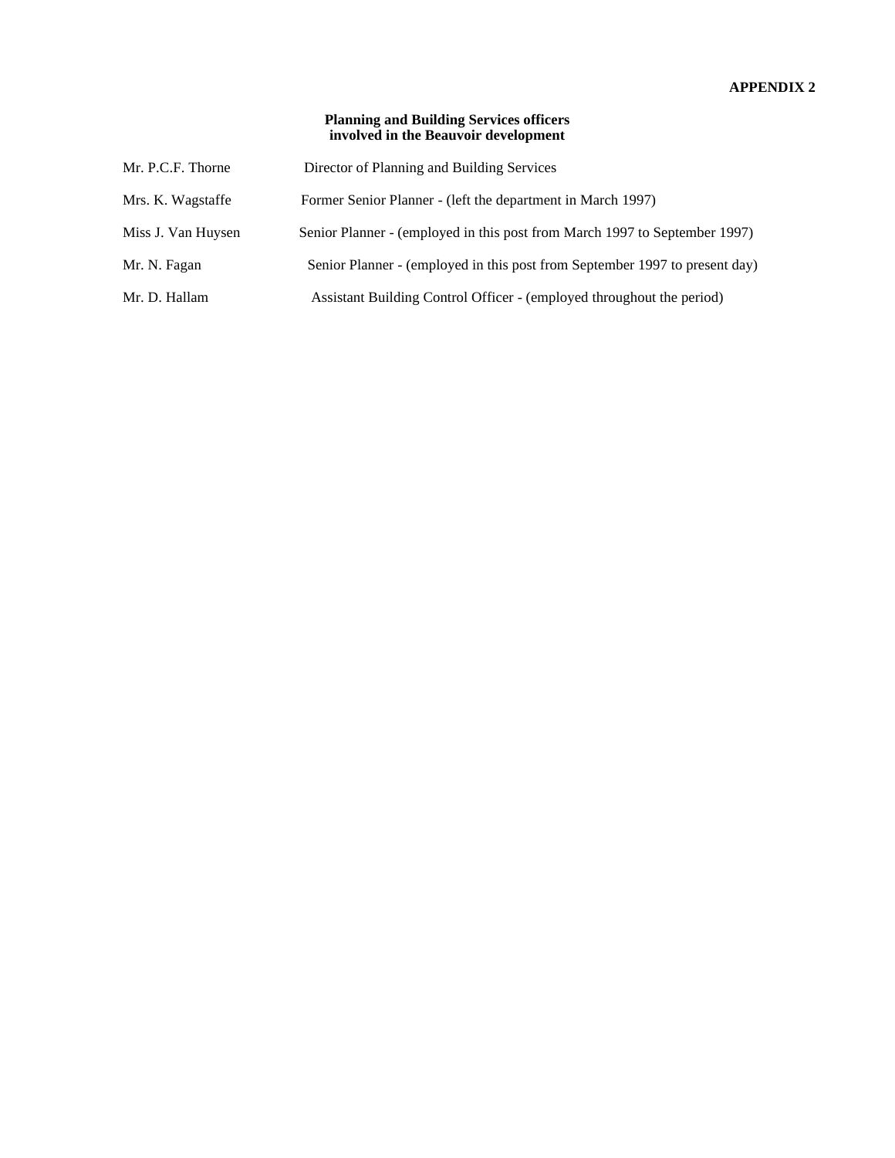## **APPENDIX 2**

## **Planning and Building Services officers involved in the Beauvoir development**

| Mr. P.C.F. Thorne  | Director of Planning and Building Services                                  |
|--------------------|-----------------------------------------------------------------------------|
| Mrs. K. Wagstaffe  | Former Senior Planner - (left the department in March 1997)                 |
| Miss J. Van Huysen | Senior Planner - (employed in this post from March 1997 to September 1997)  |
| Mr. N. Fagan       | Senior Planner - (employed in this post from September 1997 to present day) |
| Mr. D. Hallam      | Assistant Building Control Officer - (employed throughout the period)       |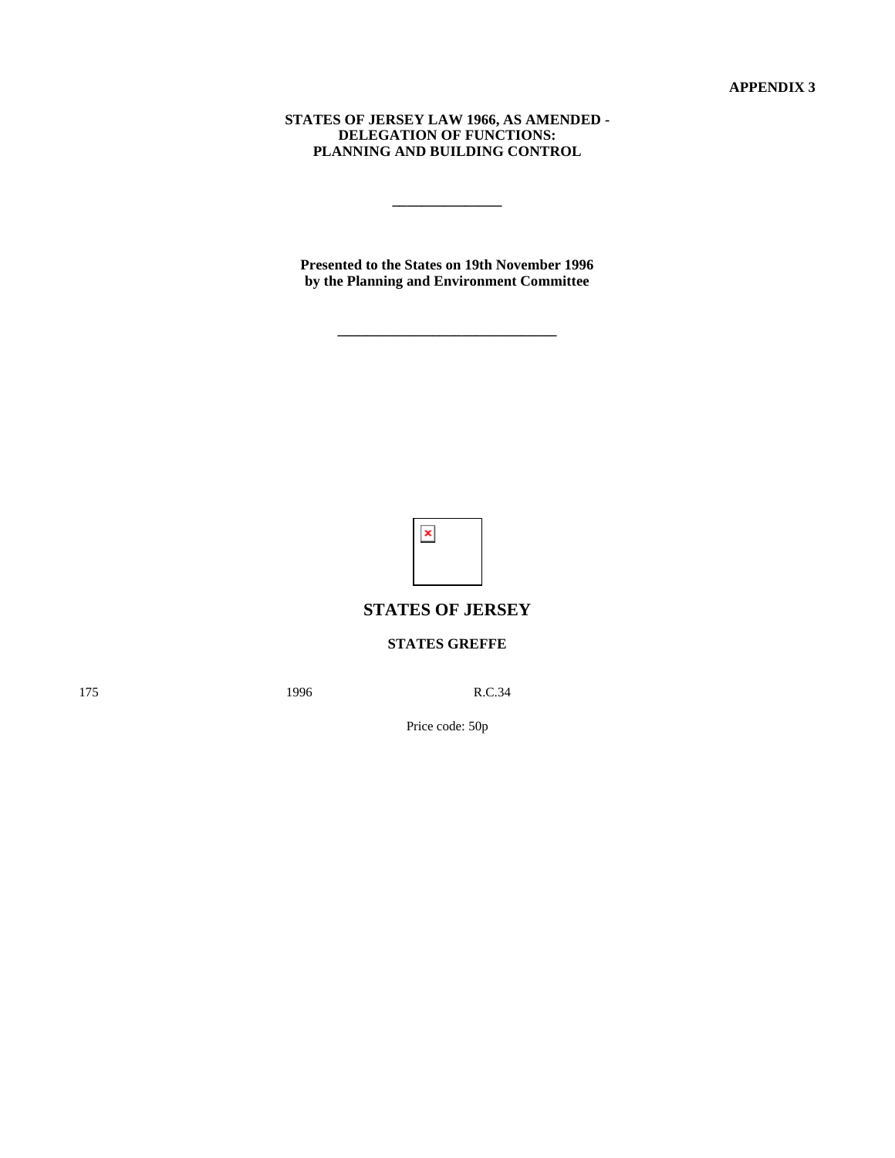**STATES OF JERSEY LAW 1966, AS AMENDED - DELEGATION OF FUNCTIONS: PLANNING AND BUILDING CONTROL**

**\_\_\_\_\_\_\_\_\_\_\_\_\_\_\_**

**Presented to the States on 19th November 1996 by the Planning and Environment Committee**

**\_\_\_\_\_\_\_\_\_\_\_\_\_\_\_\_\_\_\_\_\_\_\_\_\_\_\_\_\_\_**

 $\pmb{\times}$ 

# **STATES OF JERSEY**

## **STATES GREFFE**

175 **1996** R.C.34

Price code: 50p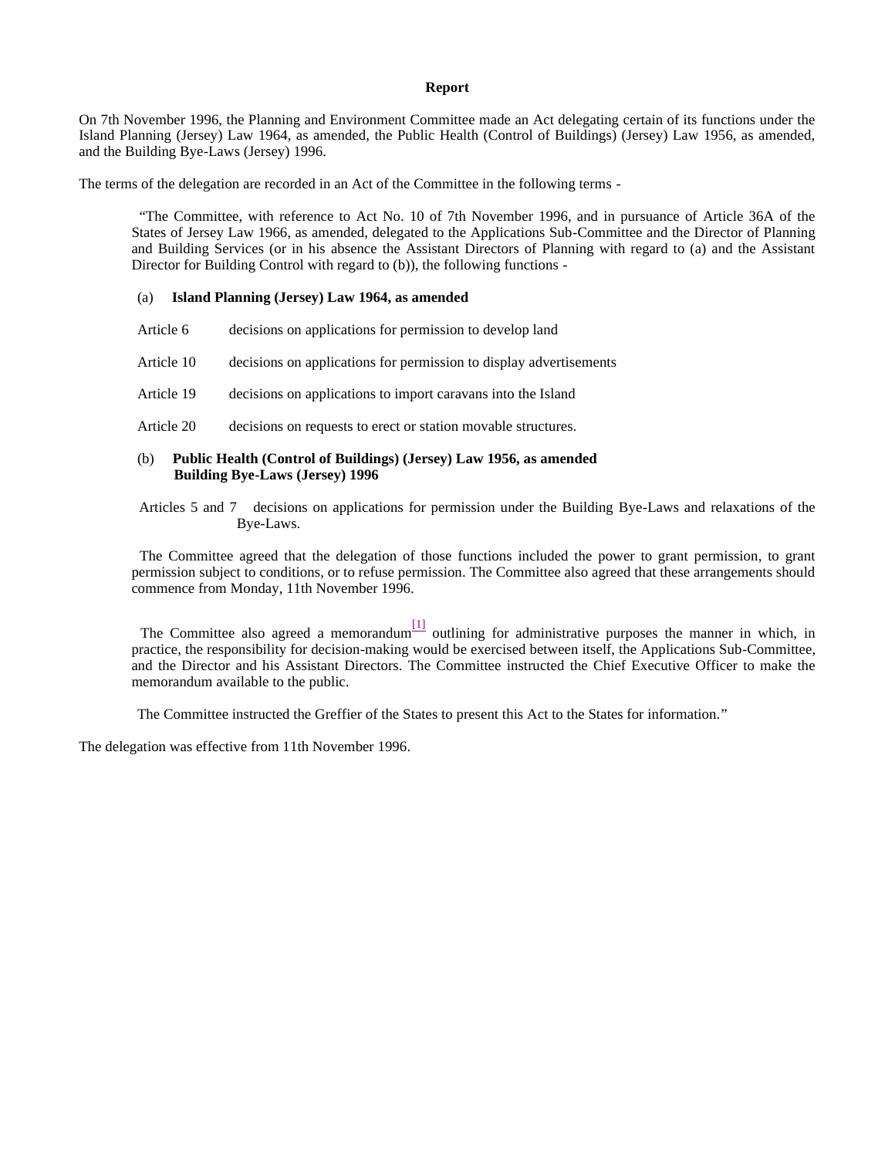#### **Report**

On 7th November 1996, the Planning and Environment Committee made an Act delegating certain of its functions under the Island Planning (Jersey) Law 1964, as amended, the Public Health (Control of Buildings) (Jersey) Law 1956, as amended, and the Building Bye-Laws (Jersey) 1996.

The terms of the delegation are recorded in an Act of the Committee in the following terms -

 "The Committee, with reference to Act No. 10 of 7th November 1996, and in pursuance of Article 36A of the States of Jersey Law 1966, as amended, delegated to the Applications Sub-Committee and the Director of Planning and Building Services (or in his absence the Assistant Directors of Planning with regard to (a) and the Assistant Director for Building Control with regard to (b)), the following functions -

#### (a) **Island Planning (Jersey) Law 1964, as amended**

| Article 6 |  | decisions on applications for permission to develop land |  |
|-----------|--|----------------------------------------------------------|--|
|           |  |                                                          |  |

- Article 10 decisions on applications for permission to display advertisements
- Article 19 decisions on applications to import caravans into the Island
- Article 20 decisions on requests to erect or station movable structures.

#### (b) **Public Health (Control of Buildings) (Jersey) Law 1956, as amended Building Bye-Laws (Jersey) 1996**

 Articles 5 and 7 decisions on applications for permission under the Building Bye-Laws and relaxations of the Bye-Laws.

 The Committee agreed that the delegation of those functions included the power to grant permission, to grant permission subject to conditions, or to refuse permission. The Committee also agreed that these arrangements should commence from Monday, 11th November 1996.

The Committee also agreed a memorandum $\frac{[1]}{[1]}$  outlining for administrative purposes the manner in which, in practice, the responsibility for decision-making would be exercised between itself, the Applications Sub-Committee, and the Director and his Assistant Directors. The Committee instructed the Chief Executive Officer to make the memorandum available to the public.

The Committee instructed the Greffier of the States to present this Act to the States for information."

The delegation was effective from 11th November 1996.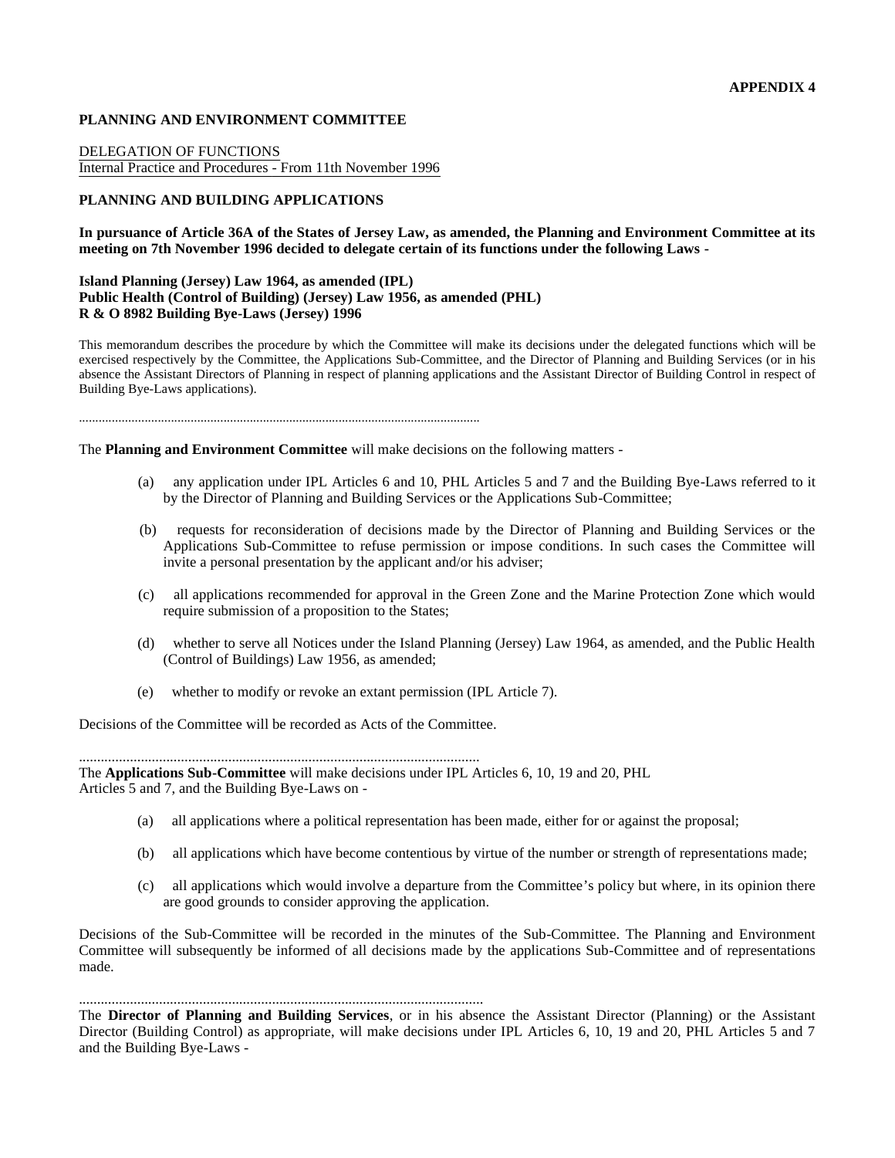#### **PLANNING AND ENVIRONMENT COMMITTEE**

DELEGATION OF FUNCTIONS Internal Practice and Procedures - From 11th November 1996

## **PLANNING AND BUILDING APPLICATIONS**

#### **In pursuance of Article 36A of the States of Jersey Law, as amended, the Planning and Environment Committee at its meeting on 7th November 1996 decided to delegate certain of its functions under the following Laws -**

#### **Island Planning (Jersey) Law 1964, as amended (IPL) Public Health (Control of Building) (Jersey) Law 1956, as amended (PHL) R & O 8982 Building Bye-Laws (Jersey) 1996**

This memorandum describes the procedure by which the Committee will make its decisions under the delegated functions which will be exercised respectively by the Committee, the Applications Sub-Committee, and the Director of Planning and Building Services (or in his absence the Assistant Directors of Planning in respect of planning applications and the Assistant Director of Building Control in respect of Building Bye-Laws applications).

..........................................................................................................................

The **Planning and Environment Committee** will make decisions on the following matters -

- (a) any application under IPL Articles 6 and 10, PHL Articles 5 and 7 and the Building Bye-Laws referred to it by the Director of Planning and Building Services or the Applications Sub-Committee;
- (b) requests for reconsideration of decisions made by the Director of Planning and Building Services or the Applications Sub-Committee to refuse permission or impose conditions. In such cases the Committee will invite a personal presentation by the applicant and/or his adviser;
- (c) all applications recommended for approval in the Green Zone and the Marine Protection Zone which would require submission of a proposition to the States;
- (d) whether to serve all Notices under the Island Planning (Jersey) Law 1964, as amended, and the Public Health (Control of Buildings) Law 1956, as amended;
- (e) whether to modify or revoke an extant permission (IPL Article 7).

..............................................................................................................

Decisions of the Committee will be recorded as Acts of the Committee.

The **Applications Sub-Committee** will make decisions under IPL Articles 6, 10, 19 and 20, PHL Articles 5 and 7, and the Building Bye-Laws on -

- (a) all applications where a political representation has been made, either for or against the proposal;
- (b) all applications which have become contentious by virtue of the number or strength of representations made;
- (c) all applications which would involve a departure from the Committee's policy but where, in its opinion there are good grounds to consider approving the application.

Decisions of the Sub-Committee will be recorded in the minutes of the Sub-Committee. The Planning and Environment Committee will subsequently be informed of all decisions made by the applications Sub-Committee and of representations made.

...............................................................................................................

The **Director of Planning and Building Services**, or in his absence the Assistant Director (Planning) or the Assistant Director (Building Control) as appropriate, will make decisions under IPL Articles 6, 10, 19 and 20, PHL Articles 5 and 7 and the Building Bye-Laws -